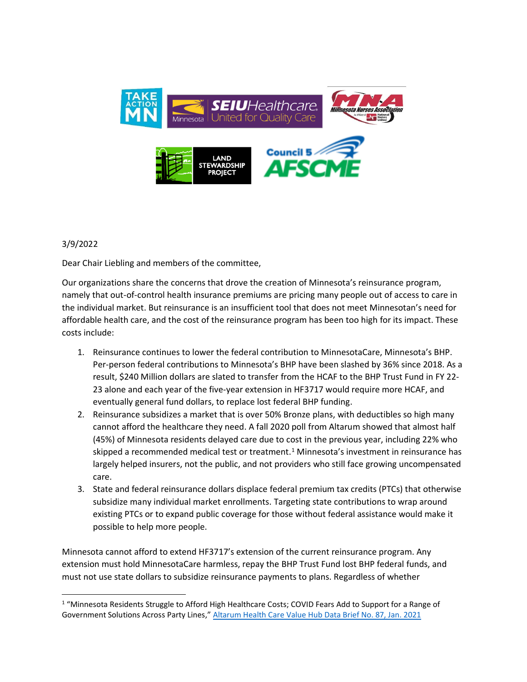

## 3/9/2022

Dear Chair Liebling and members of the committee,

Our organizations share the concerns that drove the creation of Minnesota's reinsurance program, namely that out-of-control health insurance premiums are pricing many people out of access to care in the individual market. But reinsurance is an insufficient tool that does not meet Minnesotan's need for affordable health care, and the cost of the reinsurance program has been too high for its impact. These costs include:

- 1. Reinsurance continues to lower the federal contribution to MinnesotaCare, Minnesota's BHP. Per-person federal contributions to Minnesota's BHP have been slashed by 36% since 2018. As a result, \$240 Million dollars are slated to transfer from the HCAF to the BHP Trust Fund in FY 22- 23 alone and each year of the five-year extension in HF3717 would require more HCAF, and eventually general fund dollars, to replace lost federal BHP funding.
- 2. Reinsurance subsidizes a market that is over 50% Bronze plans, with deductibles so high many cannot afford the healthcare they need. A fall 2020 poll from Altarum showed that almost half (45%) of Minnesota residents delayed care due to cost in the previous year, including 22% who skipped a recommended medical test or treatment.<sup>1</sup> Minnesota's investment in reinsurance has largely helped insurers, not the public, and not providers who still face growing uncompensated care.
- 3. State and federal reinsurance dollars displace federal premium tax credits (PTCs) that otherwise subsidize many individual market enrollments. Targeting state contributions to wrap around existing PTCs or to expand public coverage for those without federal assistance would make it possible to help more people.

Minnesota cannot afford to extend HF3717's extension of the current reinsurance program. Any extension must hold MinnesotaCare harmless, repay the BHP Trust Fund lost BHP federal funds, and must not use state dollars to subsidize reinsurance payments to plans. Regardless of whether

<sup>&</sup>lt;sup>1</sup> "Minnesota Residents Struggle to Afford High Healthcare Costs; COVID Fears Add to Support for a Range of Government Solutions Across Party Lines," [Altarum Health Care Value Hub Data Brief No. 87, Jan. 2021](https://www.healthcarevaluehub.org/application/files/5216/1039/9667/Hub-Altarum_Data_Brief_No._87_-_Minnesota_Affordability_Brief.pdf)